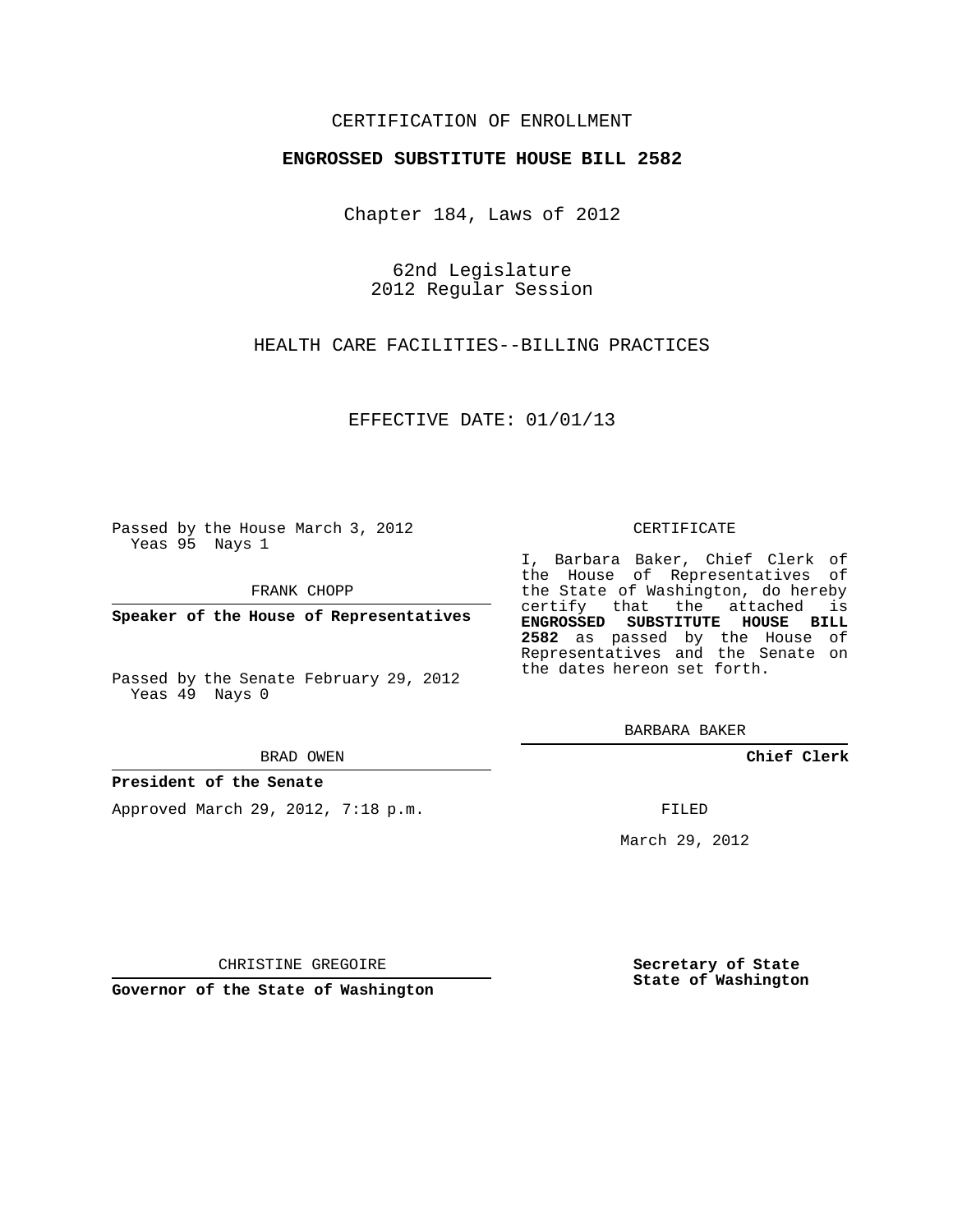# CERTIFICATION OF ENROLLMENT

## **ENGROSSED SUBSTITUTE HOUSE BILL 2582**

Chapter 184, Laws of 2012

62nd Legislature 2012 Regular Session

HEALTH CARE FACILITIES--BILLING PRACTICES

EFFECTIVE DATE: 01/01/13

Passed by the House March 3, 2012 Yeas 95 Nays 1

FRANK CHOPP

**Speaker of the House of Representatives**

Passed by the Senate February 29, 2012 Yeas 49 Nays 0

#### BRAD OWEN

### **President of the Senate**

Approved March 29, 2012, 7:18 p.m.

#### CERTIFICATE

I, Barbara Baker, Chief Clerk of the House of Representatives of the State of Washington, do hereby certify that the attached is **ENGROSSED SUBSTITUTE HOUSE BILL 2582** as passed by the House of Representatives and the Senate on the dates hereon set forth.

BARBARA BAKER

**Chief Clerk**

FILED

March 29, 2012

**Secretary of State State of Washington**

CHRISTINE GREGOIRE

**Governor of the State of Washington**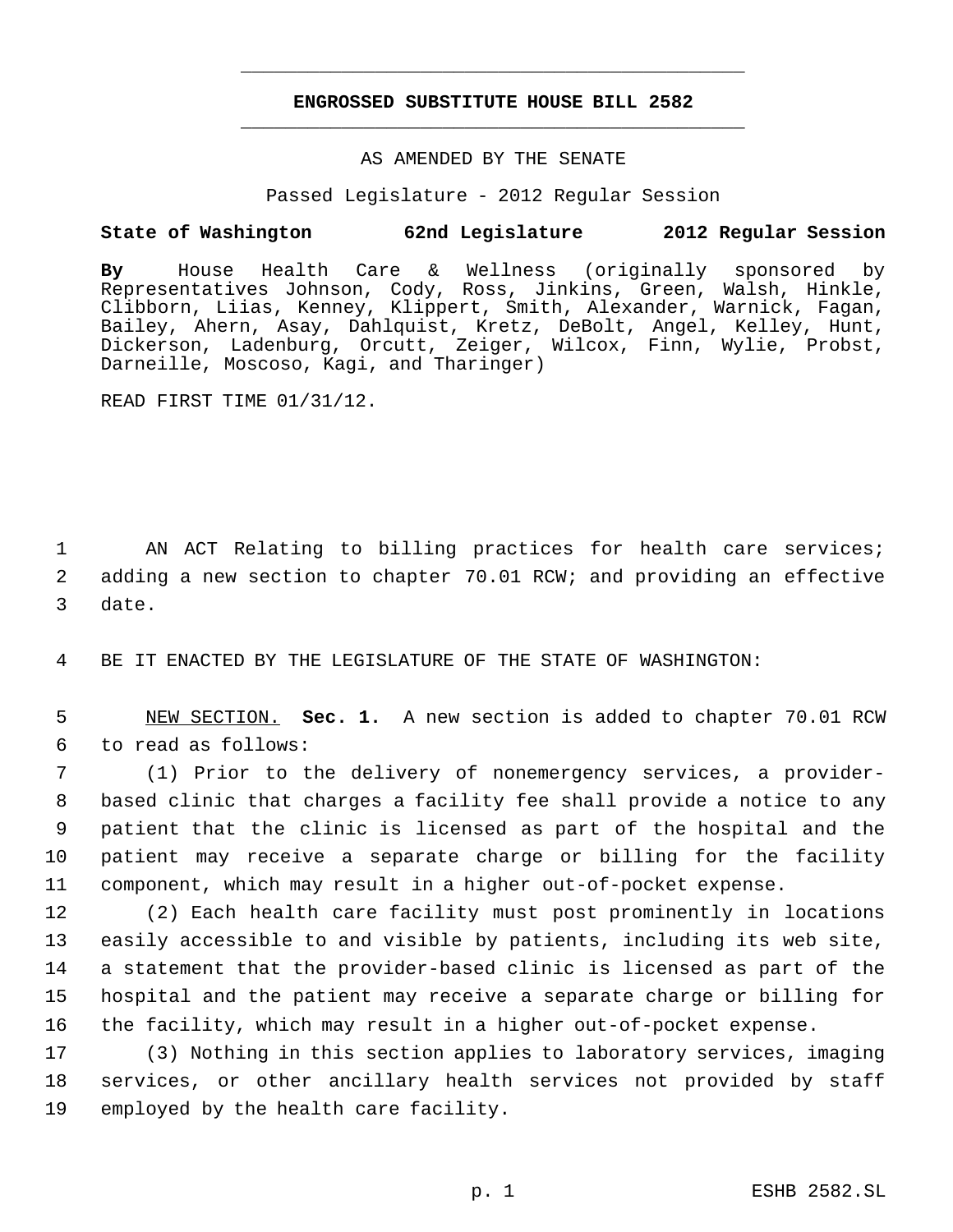# **ENGROSSED SUBSTITUTE HOUSE BILL 2582** \_\_\_\_\_\_\_\_\_\_\_\_\_\_\_\_\_\_\_\_\_\_\_\_\_\_\_\_\_\_\_\_\_\_\_\_\_\_\_\_\_\_\_\_\_

\_\_\_\_\_\_\_\_\_\_\_\_\_\_\_\_\_\_\_\_\_\_\_\_\_\_\_\_\_\_\_\_\_\_\_\_\_\_\_\_\_\_\_\_\_

## AS AMENDED BY THE SENATE

Passed Legislature - 2012 Regular Session

# **State of Washington 62nd Legislature 2012 Regular Session**

**By** House Health Care & Wellness (originally sponsored by Representatives Johnson, Cody, Ross, Jinkins, Green, Walsh, Hinkle, Clibborn, Liias, Kenney, Klippert, Smith, Alexander, Warnick, Fagan, Bailey, Ahern, Asay, Dahlquist, Kretz, DeBolt, Angel, Kelley, Hunt, Dickerson, Ladenburg, Orcutt, Zeiger, Wilcox, Finn, Wylie, Probst, Darneille, Moscoso, Kagi, and Tharinger)

READ FIRST TIME 01/31/12.

1 AN ACT Relating to billing practices for health care services; 2 adding a new section to chapter 70.01 RCW; and providing an effective 3 date.

4 BE IT ENACTED BY THE LEGISLATURE OF THE STATE OF WASHINGTON:

 5 NEW SECTION. **Sec. 1.** A new section is added to chapter 70.01 RCW 6 to read as follows:

 (1) Prior to the delivery of nonemergency services, a provider- based clinic that charges a facility fee shall provide a notice to any patient that the clinic is licensed as part of the hospital and the patient may receive a separate charge or billing for the facility component, which may result in a higher out-of-pocket expense.

 (2) Each health care facility must post prominently in locations easily accessible to and visible by patients, including its web site, a statement that the provider-based clinic is licensed as part of the hospital and the patient may receive a separate charge or billing for the facility, which may result in a higher out-of-pocket expense.

17 (3) Nothing in this section applies to laboratory services, imaging 18 services, or other ancillary health services not provided by staff 19 employed by the health care facility.